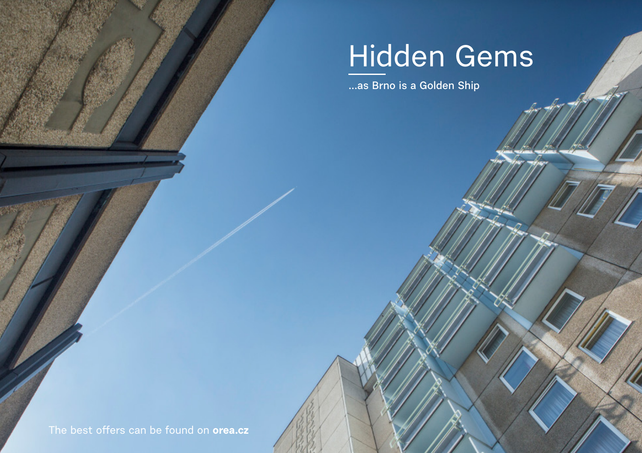# Hidden Gems

**...as Brno is a Golden Ship**

The best offers can be found on **orea.cz**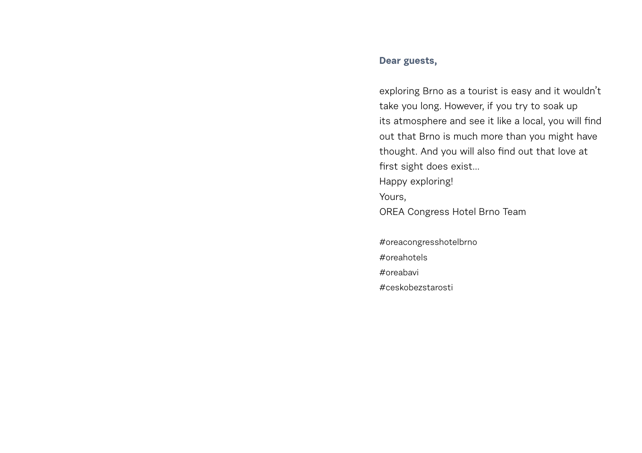### **Dear guests,**

exploring Brno as a tourist is easy and it wouldn't take you long. However, if you try to soak up its atmosphere and see it like a local, you will find out that Brno is much more than you might have thought. And you will also find out that love at first sight does exist... Happy exploring! Yours, OREA Congress Hotel Brno Team

#oreacongresshotelbrno #oreahotels #oreabavi #ceskobezstarosti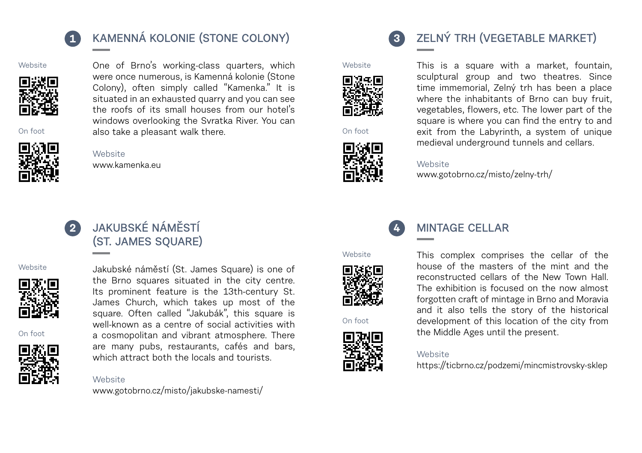

# **1 KAMENNÁ KOLONIE (STONE COLONY)**

**Website** 



On foot

One of Brno's working-class quarters, which were once numerous, is Kamenná kolonie (Stone Colony), often simply called "Kamenka." It is situated in an exhausted quarry and you can see the roofs of its small houses from our hotel's windows overlooking the Svratka River. You can also take a pleasant walk there.



Website [www.kamenka.eu](http://www.translatetheweb.com/%3Fref%3DSERP%26br%3Dro%26mkt%3Den-WW%26dl%3Den%26lp%3DCS_EN%26a%3Dhttp%253a%252f%252fwww.pruvodcebrnem.cz%252fkamenna-kolonie)

Website



# **JAKUBSKÉ NÁMĚSTÍ (ST. JAMES SQUARE)**





On foot



### Jakubské náměstí (St. James Square) is one of the Brno squares situated in the city centre. Its prominent feature is the 13th-century St. James Church, which takes up most of the square. Often called "Jakubák", this square is well-known as a centre of social activities with a cosmopolitan and vibrant atmosphere. There are many pubs, restaurants, cafés and bars, which attract both the locals and tourists.

[www.gotobrno.cz/misto/jakubske-namesti/](https://www.gotobrno.cz/en/place/st-james-square-jakubske-namesti/)







# **3 ZELNÝ TRH (VEGETABLE MARKET)**



This is a square with a market, fountain, sculptural group and two theatres. Since time immemorial, Zelný trh has been a place where the inhabitants of Brno can buy fruit, vegetables, flowers, etc. The lower part of the square is where you can find the entry to and exit from the Labyrinth, a system of unique medieval underground tunnels and cellars.

#### Website

[www.gotobrno.cz/misto/zelny-trh/](https://www.gotobrno.cz/en/place/zelny-trh-vegetable-market/)



**4**

## **MINTAGE CELLAR**

Website



On foot



This complex comprises the cellar of the house of the masters of the mint and the reconstructed cellars of the New Town Hall. The exhibition is focused on the now almost forgotten craft of mintage in Brno and Moravia and it also tells the story of the historical development of this location of the city from the Middle Ages until the present.

#### Website

[https://ticbrno.cz/podzemi/mincmistrovsky-sklep](https://www.gotobrno.cz/en/place/mint-masters-cellar-mincmistrovsky-sklep/)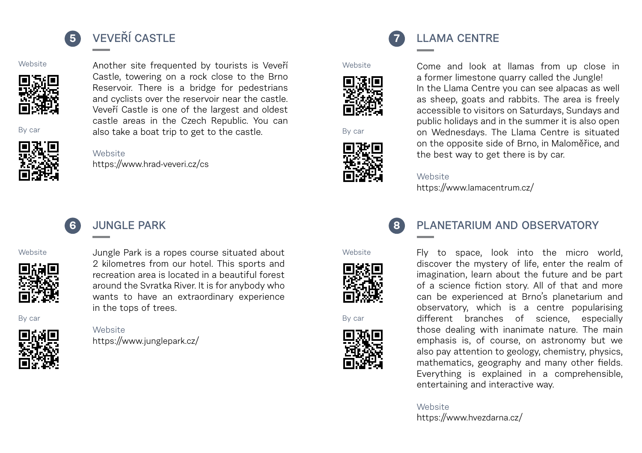

# **5 VEVEŘÍ CASTLE**

Website



By car



Website [https://www.hrad-veveri.cz/cs](https://www.gotobrno.cz/en/place/veveri-castle/)

# **6 JUNGLE PARK**





Jungle Park is a ropes course situated about 2 kilometres from our hotel. This sports and recreation area is located in a beautiful forest around the Svratka River. It is for anybody who wants to have an extraordinary experience in the tops of trees.

Another site frequented by tourists is Veveří Castle, towering on a rock close to the Brno Reservoir. There is a bridge for pedestrians and cyclists over the reservoir near the castle. Veveří Castle is one of the largest and oldest castle areas in the Czech Republic. You can also take a boat trip to get to the castle.

# By car



**Website** 

[https://www.junglepark.cz/](https://www.junglepark.cz/en)







**7 LLAMA CENTRE**

Come and look at llamas from up close in a former limestone quarry called the Jungle! In the Llama Centre you can see alpacas as well as sheep, goats and rabbits. The area is freely accessible to visitors on Saturdays, Sundays and public holidays and in the summer it is also open on Wednesdays. The Llama Centre is situated on the opposite side of Brno, in Maloměřice, and the best way to get there is by car.

#### Website

[https://www.lamacentrum.cz/](https://www.translatetheweb.com/%3Ffrom%3Dcs%26to%3Den%26ref%3DSERP%26refd%3Dwww.bing.com%26dl%3Den%26rr%3DUC%26a%3Dhttps%253a%252f%252fwww.lamacentrum.cz%252f)

#### Website



By car



**8 PLANETARIUM AND OBSERVATORY**

Fly to space, look into the micro world, discover the mystery of life, enter the realm of imagination, learn about the future and be part of a science fiction story. All of that and more can be experienced at Brno's planetarium and observatory, which is a centre popularising different branches of science, especially those dealing with inanimate nature. The main emphasis is, of course, on astronomy but we also pay attention to geology, chemistry, physics, mathematics, geography and many other fields. Everything is explained in a comprehensible, entertaining and interactive way.

**Website** [https://www.hvezdarna.cz/](www.hvezdarna.cz/en)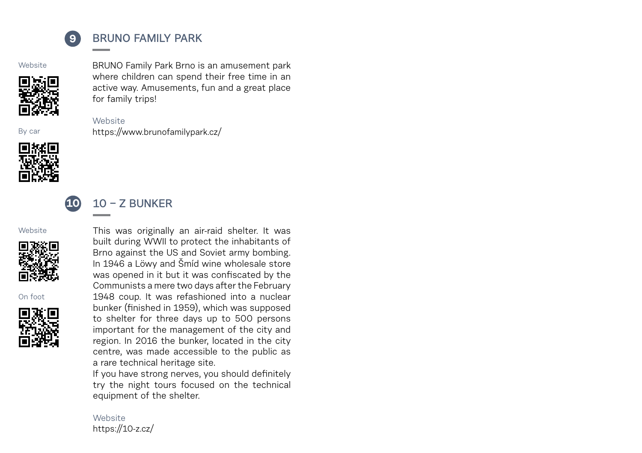

# **9 BRUNO FAMILY PARK**

[https://www.brunofamilypark.cz/](https://www.brunofamilypark.cz/en/)

**Website** 



BRUNO Family Park Brno is an amusement park where children can spend their free time in an active way. Amusements, fun and a great place for family trips!

By car



# **10 10 – Z BUNKER**

Website

Website



On foot



This was originally an air-raid shelter. It was built during WWII to protect the inhabitants of Brno against the US and Soviet army bombing. In 1946 a Löwy and Šmíd wine wholesale store was opened in it but it was confiscated by the Communists a mere two days after the February 1948 coup. It was refashioned into a nuclear bunker (finished in 1959), which was supposed to shelter for three days up to 500 persons important for the management of the city and region. In 2016 the bunker, located in the city centre, was made accessible to the public as a rare technical heritage site.

If you have strong nerves, you should definitely try the night tours focused on the technical equipment of the shelter.

### **Website** [https://10-z.cz/](https://10-z.cz/en/)